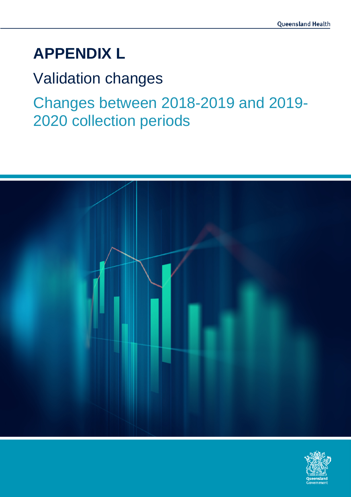# **APPENDIX L**

Validation changes

Changes between 2018-2019 and 2019- 2020 collection periods



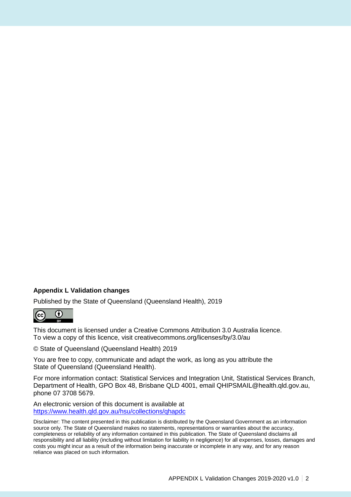#### **Appendix L Validation changes**

Published by the State of Queensland (Queensland Health), 2019



This document is licensed under a Creative Commons Attribution 3.0 Australia licence. To view a copy of this licence, visit creativecommons.org/licenses/by/3.0/au

© State of Queensland (Queensland Health) 2019

You are free to copy, communicate and adapt the work, as long as you attribute the State of Queensland (Queensland Health).

For more information contact: Statistical Services and Integration Unit, Statistical Services Branch, Department of Health, GPO Box 48, Brisbane QLD 4001, email QHIPSMAIL@health.qld.gov.au, phone 07 3708 5679.

An electronic version of this document is available at <https://www.health.qld.gov.au/hsu/collections/qhapdc>

Disclaimer: The content presented in this publication is distributed by the Queensland Government as an information source only. The State of Queensland makes no statements, representations or warranties about the accuracy, completeness or reliability of any information contained in this publication. The State of Queensland disclaims all responsibility and all liability (including without limitation for liability in negligence) for all expenses, losses, damages and costs you might incur as a result of the information being inaccurate or incomplete in any way, and for any reason reliance was placed on such information.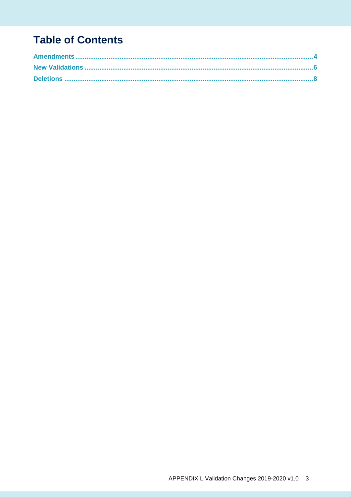# **Table of Contents**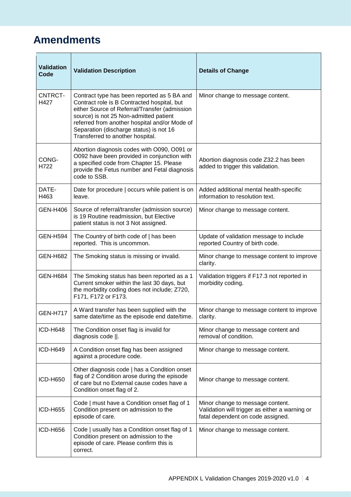### **Amendments**

| <b>Validation</b><br>Code | <b>Validation Description</b>                                                                                                                                                                                                                                                                                         | <b>Details of Change</b>                                                                                                |
|---------------------------|-----------------------------------------------------------------------------------------------------------------------------------------------------------------------------------------------------------------------------------------------------------------------------------------------------------------------|-------------------------------------------------------------------------------------------------------------------------|
| CNTRCT-<br>H427           | Contract type has been reported as 5 BA and<br>Contract role is B Contracted hospital, but<br>either Source of Referral/Transfer (admission<br>source) is not 25 Non-admitted patient<br>referred from another hospital and/or Mode of<br>Separation (discharge status) is not 16<br>Transferred to another hospital. | Minor change to message content.                                                                                        |
| CONG-<br>H722             | Abortion diagnosis codes with O090, O091 or<br>O092 have been provided in conjunction with<br>a specified code from Chapter 15. Please<br>provide the Fetus number and Fetal diagnosis<br>code to SSB.                                                                                                                | Abortion diagnosis code Z32.2 has been<br>added to trigger this validation.                                             |
| DATE-<br>H463             | Date for procedure   occurs while patient is on<br>leave.                                                                                                                                                                                                                                                             | Added additional mental health-specific<br>information to resolution text.                                              |
| <b>GEN-H406</b>           | Source of referral/transfer (admission source)<br>is 19 Routine readmission, but Elective<br>patient status is not 3 Not assigned.                                                                                                                                                                                    | Minor change to message content.                                                                                        |
| <b>GEN-H594</b>           | The Country of birth code of   has been<br>reported. This is uncommon.                                                                                                                                                                                                                                                | Update of validation message to include<br>reported Country of birth code.                                              |
| <b>GEN-H682</b>           | The Smoking status is missing or invalid.                                                                                                                                                                                                                                                                             | Minor change to message content to improve<br>clarity.                                                                  |
| <b>GEN-H684</b>           | The Smoking status has been reported as a 1<br>Current smoker within the last 30 days, but<br>the morbidity coding does not include; Z720,<br>F171, F172 or F173.                                                                                                                                                     | Validation triggers if F17.3 not reported in<br>morbidity coding.                                                       |
| <b>GEN-H717</b>           | A Ward transfer has been supplied with the<br>same date/time as the episode end date/time.                                                                                                                                                                                                                            | Minor change to message content to improve<br>clarity.                                                                  |
| <b>ICD-H648</b>           | The Condition onset flag is invalid for<br>diagnosis code   .                                                                                                                                                                                                                                                         | Minor change to message content and<br>removal of condition.                                                            |
| <b>ICD-H649</b>           | A Condition onset flag has been assigned<br>against a procedure code.                                                                                                                                                                                                                                                 | Minor change to message content.                                                                                        |
| <b>ICD-H650</b>           | Other diagnosis code   has a Condition onset<br>flag of 2 Condition arose during the episode<br>of care but no External cause codes have a<br>Condition onset flag of 2.                                                                                                                                              | Minor change to message content.                                                                                        |
| ICD-H655                  | Code   must have a Condition onset flag of 1<br>Condition present on admission to the<br>episode of care.                                                                                                                                                                                                             | Minor change to message content.<br>Validation will trigger as either a warning or<br>fatal dependent on code assigned. |
| <b>ICD-H656</b>           | Code   usually has a Condition onset flag of 1<br>Condition present on admission to the<br>episode of care. Please confirm this is<br>correct.                                                                                                                                                                        | Minor change to message content.                                                                                        |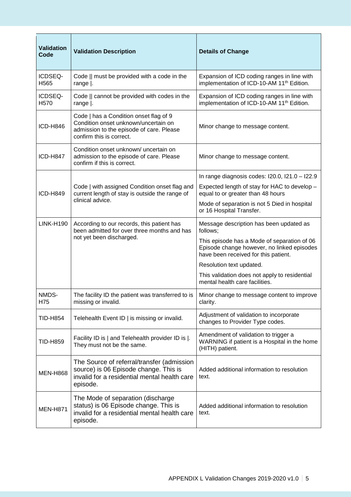| <b>Validation</b><br>Code   | <b>Validation Description</b>                                                                                                                          | <b>Details of Change</b>                                                                                                          |
|-----------------------------|--------------------------------------------------------------------------------------------------------------------------------------------------------|-----------------------------------------------------------------------------------------------------------------------------------|
| ICDSEQ-<br>H <sub>565</sub> | Code    must be provided with a code in the<br>range $\vert$ .                                                                                         | Expansion of ICD coding ranges in line with<br>implementation of ICD-10-AM 11 <sup>th</sup> Edition.                              |
| ICDSEQ-<br>H <sub>570</sub> | Code    cannot be provided with codes in the<br>range $\vert$ .                                                                                        | Expansion of ICD coding ranges in line with<br>implementation of ICD-10-AM 11 <sup>th</sup> Edition.                              |
| <b>ICD-H846</b>             | Code   has a Condition onset flag of 9<br>Condition onset unknown/uncertain on<br>admission to the episode of care. Please<br>confirm this is correct. | Minor change to message content.                                                                                                  |
| <b>ICD-H847</b>             | Condition onset unknown/ uncertain on<br>admission to the episode of care. Please<br>confirm if this is correct.                                       | Minor change to message content.                                                                                                  |
|                             |                                                                                                                                                        | In range diagnosis codes: I20.0, I21.0 - I22.9                                                                                    |
| <b>ICD-H849</b>             | Code   with assigned Condition onset flag and<br>current length of stay is outside the range of<br>clinical advice.                                    | Expected length of stay for HAC to develop -<br>equal to or greater than 48 hours                                                 |
|                             |                                                                                                                                                        | Mode of separation is not 5 Died in hospital<br>or 16 Hospital Transfer.                                                          |
| <b>LINK-H190</b>            | According to our records, this patient has<br>been admitted for over three months and has<br>not yet been discharged.                                  | Message description has been updated as<br>follows;                                                                               |
|                             |                                                                                                                                                        | This episode has a Mode of separation of 06<br>Episode change however, no linked episodes<br>have been received for this patient. |
|                             |                                                                                                                                                        | Resolution text updated.                                                                                                          |
|                             |                                                                                                                                                        | This validation does not apply to residential<br>mental health care facilities.                                                   |
| NMDS-<br>H75                | The facility ID the patient was transferred to is<br>missing or invalid.                                                                               | Minor change to message content to improve<br>clarity.                                                                            |
| TID-H854                    | Telehealth Event ID   is missing or invalid.                                                                                                           | Adjustment of validation to incorporate<br>changes to Provider Type codes.                                                        |
| <b>TID-H859</b>             | Facility ID is   and Telehealth provider ID is  .<br>They must not be the same.                                                                        | Amendment of validation to trigger a<br>WARNING if patient is a Hospital in the home<br>(HITH) patient.                           |
| <b>MEN-H868</b>             | The Source of referral/transfer (admission<br>source) is 06 Episode change. This is<br>invalid for a residential mental health care<br>episode.        | Added additional information to resolution<br>text.                                                                               |
| <b>MEN-H871</b>             | The Mode of separation (discharge<br>status) is 06 Episode change. This is<br>invalid for a residential mental health care<br>episode.                 | Added additional information to resolution<br>text.                                                                               |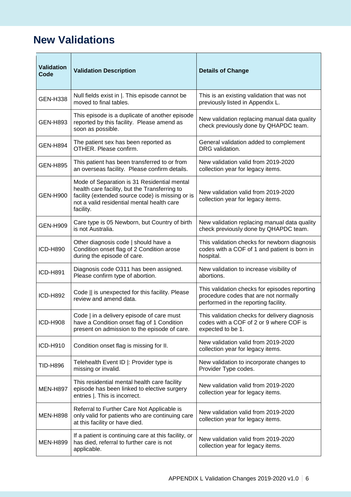#### **New Validations**

| <b>Validation</b><br>Code | <b>Validation Description</b>                                                                                                                                                                               | <b>Details of Change</b>                                                                                                       |
|---------------------------|-------------------------------------------------------------------------------------------------------------------------------------------------------------------------------------------------------------|--------------------------------------------------------------------------------------------------------------------------------|
| <b>GEN-H338</b>           | Null fields exist in  . This episode cannot be<br>moved to final tables.                                                                                                                                    | This is an existing validation that was not<br>previously listed in Appendix L.                                                |
| <b>GEN-H893</b>           | This episode is a duplicate of another episode<br>reported by this facility. Please amend as<br>soon as possible.                                                                                           | New validation replacing manual data quality<br>check previously done by QHAPDC team.                                          |
| <b>GEN-H894</b>           | The patient sex has been reported as<br>OTHER. Please confirm.                                                                                                                                              | General validation added to complement<br>DRG validation.                                                                      |
| <b>GEN-H895</b>           | This patient has been transferred to or from<br>an overseas facility. Please confirm details.                                                                                                               | New validation valid from 2019-2020<br>collection year for legacy items.                                                       |
| <b>GEN-H900</b>           | Mode of Separation is 31 Residential mental<br>health care facility, but the Transferring to<br>facility (extended source code) is missing or is<br>not a valid residential mental health care<br>facility. | New validation valid from 2019-2020<br>collection year for legacy items.                                                       |
| <b>GEN-H909</b>           | Care type is 05 Newborn, but Country of birth<br>is not Australia.                                                                                                                                          | New validation replacing manual data quality<br>check previously done by QHAPDC team.                                          |
| <b>ICD-H890</b>           | Other diagnosis code   should have a<br>Condition onset flag of 2 Condition arose<br>during the episode of care.                                                                                            | This validation checks for newborn diagnosis<br>codes with a COF of 1 and patient is born in<br>hospital.                      |
| <b>ICD-H891</b>           | Diagnosis code O311 has been assigned.<br>Please confirm type of abortion.                                                                                                                                  | New validation to increase visibility of<br>abortions.                                                                         |
| <b>ICD-H892</b>           | Code    is unexpected for this facility. Please<br>review and amend data.                                                                                                                                   | This validation checks for episodes reporting<br>procedure codes that are not normally<br>performed in the reporting facility. |
| <b>ICD-H908</b>           | Code   in a delivery episode of care must<br>have a Condition onset flag of 1 Condition<br>present on admission to the episode of care.                                                                     | This validation checks for delivery diagnosis<br>codes with a COF of 2 or 9 where COF is<br>expected to be 1.                  |
| ICD-H910                  | Condition onset flag is missing for II.                                                                                                                                                                     | New validation valid from 2019-2020<br>collection year for legacy items.                                                       |
| <b>TID-H896</b>           | Telehealth Event ID  : Provider type is<br>missing or invalid.                                                                                                                                              | New validation to incorporate changes to<br>Provider Type codes.                                                               |
| <b>MEN-H897</b>           | This residential mental health care facility<br>episode has been linked to elective surgery<br>entries  . This is incorrect.                                                                                | New validation valid from 2019-2020<br>collection year for legacy items.                                                       |
| <b>MEN-H898</b>           | Referral to Further Care Not Applicable is<br>only valid for patients who are continuing care<br>at this facility or have died.                                                                             | New validation valid from 2019-2020<br>collection year for legacy items.                                                       |
| <b>MEN-H899</b>           | If a patient is continuing care at this facility, or<br>has died, referral to further care is not<br>applicable.                                                                                            | New validation valid from 2019-2020<br>collection year for legacy items.                                                       |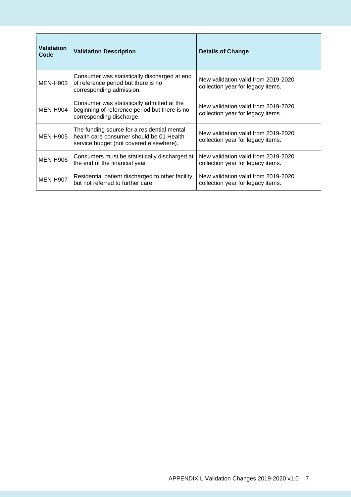| <b>Validation</b><br>Code | <b>Validation Description</b>                                                                                                      | <b>Details of Change</b>                                                 |
|---------------------------|------------------------------------------------------------------------------------------------------------------------------------|--------------------------------------------------------------------------|
| <b>MEN-H903</b>           | Consumer was statistically discharged at end<br>of reference period but there is no<br>corresponding admission.                    | New validation valid from 2019-2020<br>collection year for legacy items. |
| <b>MEN-H904</b>           | Consumer was statistically admitted at the<br>beginning of reference period but there is no<br>corresponding discharge.            | New validation valid from 2019-2020<br>collection year for legacy items. |
| MEN-H905                  | The funding source for a residential mental<br>health care consumer should be 01 Health<br>service budget (not covered elsewhere). | New validation valid from 2019-2020<br>collection year for legacy items. |
| <b>MEN-H906</b>           | Consumers must be statistically discharged at<br>the end of the financial year                                                     | New validation valid from 2019-2020<br>collection year for legacy items. |
| <b>MEN-H907</b>           | Residential patient discharged to other facility,<br>but not referred to further care.                                             | New validation valid from 2019-2020<br>collection year for legacy items. |